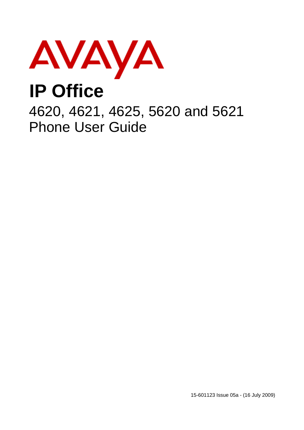

## **IP Office**

4620, 4621, 4625, 5620 and 5621 Phone User Guide

15-601123 Issue 05a - (16 July 2009)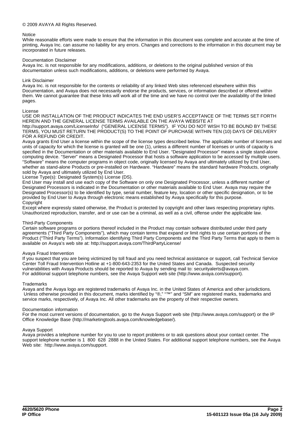#### © 2009 AVAYA All Rights Reserved.

#### Notice

While reasonable efforts were made to ensure that the information in this document was complete and accurate at the time of printing, Avaya Inc. can assume no liability for any errors. Changes and corrections to the information in this document may be incorporated in future releases.

#### Documentation Disclaimer

Avaya Inc. is not responsible for any modifications, additions, or deletions to the original published version of this documentation unless such modifications, additions, or deletions were performed by Avaya.

#### Link Disclaimer

Avaya Inc. is not responsible for the contents or reliability of any linked Web sites referenced elsewhere within this Documentation, and Avaya does not necessarily endorse the products, services, or information described or offered within them. We cannot guarantee that these links will work all of the time and we have no control over the availability of the linked pages.

#### License

USE OR INSTALLATION OF THE PRODUCT INDICATES THE END USER'S ACCEPTANCE OF THE TERMS SET FORTH HEREIN AND THE GENERAL LICENSE TERMS AVAILABLE ON THE AVAYA WEBSITE AT http://support.avaya.com/LicenseInfo/ ("GENERAL LICENSE TERMS"). IF YOU DO NOT WISH TO BE BOUND BY THESE TERMS, YOU MUST RETURN THE PRODUCT(S) TO THE POINT OF PURCHASE WITHIN TEN (10) DAYS OF DELIVERY FOR A REFUND OR CREDIT.

Avaya grants End User a license within the scope of the license types described below. The applicable number of licenses and units of capacity for which the license is granted will be one (1), unless a different number of licenses or units of capacity is specified in the Documentation or other materials available to End User. "Designated Processor" means a single stand-alone computing device. "Server" means a Designated Processor that hosts a software application to be accessed by multiple users. "Software" means the computer programs in object code, originally licensed by Avaya and ultimately utilized by End User, whether as stand-alone Products or pre-installed on Hardware. "Hardware" means the standard hardware Products, originally sold by Avaya and ultimately utilized by End User.

License Type(s): Designated System(s) License (DS).

End User may install and use each copy of the Software on only one Designated Processor, unless a different number of Designated Processors is indicated in the Documentation or other materials available to End User. Avaya may require the Designated Processor(s) to be identified by type, serial number, feature key, location or other specific designation, or to be provided by End User to Avaya through electronic means established by Avaya specifically for this purpose. Copyright

Except where expressly stated otherwise, the Product is protected by copyright and other laws respecting proprietary rights. Unauthorized reproduction, transfer, and or use can be a criminal, as well as a civil, offense under the applicable law.

#### Third-Party Components

Certain software programs or portions thereof included in the Product may contain software distributed under third party agreements ("Third Party Components"), which may contain terms that expand or limit rights to use certain portions of the Product ("Third Party Terms"). Information identifying Third Party Components and the Third Party Terms that apply to them is available on Avaya's web site at: http://support.avaya.com/ThirdPartyLicense/

#### Avaya Fraud Intervention

If you suspect that you are being victimized by toll fraud and you need technical assistance or support, call Technical Service Center Toll Fraud Intervention Hotline at +1-800-643-2353 for the United States and Canada. Suspected security vulnerabilities with Avaya Products should be reported to Avaya by sending mail to: securityalerts@avaya.com. For additional support telephone numbers, see the Avaya Support web site (http://www.avaya.com/support).

#### **Trademarks**

Avaya and the Avaya logo are registered trademarks of Avaya Inc. in the United States of America and other jurisdictions. Unless otherwise provided in this document, marks identified by "®," "™" and "SM" are registered marks, trademarks and service marks, respectively, of Avaya Inc. All other trademarks are the property of their respective owners.

#### Documentation information

For the most current versions of documentation, go to the Avaya Support web site (http://www.avaya.com/support) or the IP Office Knowledge Base (http://marketingtools.avaya.com/knowledgebase/).

#### Avaya Support

Avaya provides a telephone number for you to use to report problems or to ask questions about your contact center. The support telephone number is 1 800 628 2888 in the United States. For additional support telephone numbers, see the Avaya Web site: http://www.avaya.com/support.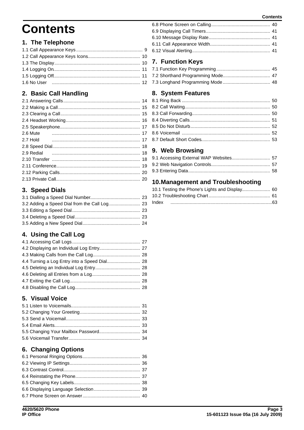#### **Contents**

## **Contents**

## 1. The Telephone

## 2. Basic Call Handling

| 2.6 Mute |  |
|----------|--|
| 2.7 Hold |  |
|          |  |
|          |  |
|          |  |
|          |  |
|          |  |
|          |  |
|          |  |

## 3. Speed Dials

## 4. Using the Call Log

## 5. Visual Voice

## **6. Changing Options**

## 7. Function Keys

## 8. System Features

## 9. Web Browsing

## 10. Management and Troubleshooting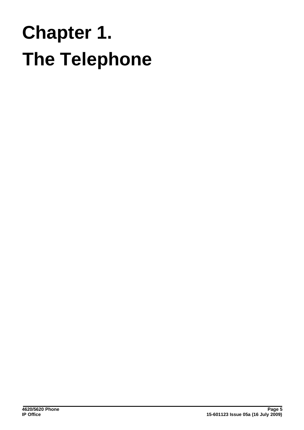## **The Telephone Chapter 1.**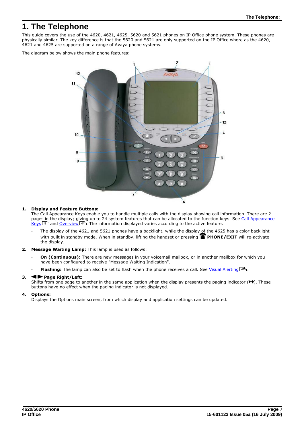## <span id="page-6-0"></span>**1. The Telephone**

This guide covers the use of the 4620, 4621, 4625, 5620 and 5621 phones on IP Office phone system. These phones are physically similar. The key difference is that the 5620 and 5621 are only supported on the IP Office where as the 4620, 4621 and 4625 are supported on a range of Avaya phone systems.

The diagram below shows the main phone features:



#### **1. Display and Feature Buttons:**

The Call Appearance Keys enable you to handle multiple calls with the display showing call information. There are 2 pages in the display; giving up to 24 system features that can be allocated to the function keys. See [Call Appearance](#page-8-0) [Keys](#page-8-0)!  $9\%$  and [Overview](#page-43-0)  $44\%$  The information displayed varies according to the active feature.

- **·** The display of the 4621 and 5621 phones have a backlight, while the display of the 4625 has a color backlight with built in standby mode. When in standby, lifting the handset or pressing **PHONE/EXIT** will re-activate the display.
- **2. Message Waiting Lamp:** This lamp is used as follows:
	- **On (Continuous):** There are new messages in your voicemail mailbox, or in another mailbox for which you have been configured to receive "Message Waiting Indication".
	- **· Flashing:** The lamp can also be set to flash when the phone receives a call. See [Visual Alerting](#page-40-3) 41<sup>4</sup>.

#### 3.  $\blacktriangleleft$  Page Right/Left:

Shifts from one page to another in the same application when the display presents the paging indicator  $(\bigleftrightarrow)$ . These buttons have no effect when the paging indicator is not displayed.

## **4. Options:**

Displays the Options main screen, from which display and application settings can be updated.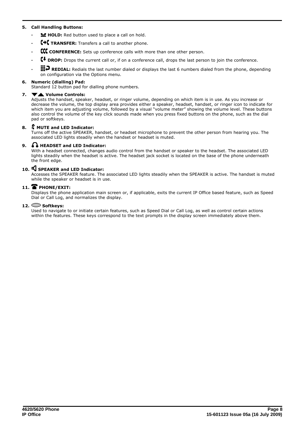## **5. Call Handling Buttons:**

- **· HOLD:** Red button used to place a call on hold.
- **C+C TRANSFER:** Transfers a call to another phone.
- **· CONFERENCE:** Sets up conference calls with more than one other person.
- **· DROP:** Drops the current call or, if on a conference call, drops the last person to join the conference.

**III.** REDIAL: Redials the last number dialed or displays the last 6 numbers dialed from the phone, depending on configuration via the Options menu.

## **6. Numeric (dialling) Pad:**

Standard 12 button pad for dialling phone numbers.

#### **7. Volume Controls:**

Adjusts the handset, speaker, headset, or ringer volume, depending on which item is in use. As you increase or decrease the volume, the top display area provides either a speaker, headset, handset, or ringer icon to indicate for which item you are adjusting volume, followed by a visual "volume meter" showing the volume level. These buttons also control the volume of the key click sounds made when you press fixed buttons on the phone, such as the dial pad or softkeys.

#### **8. MUTE and LED Indicator:**

Turns off the active SPEAKER, handset, or headset microphone to prevent the other person from hearing you. The associated LED lights steadily when the handset or headset is muted.

## **9. HEADSET and LED Indicator:**

With a headset connected, changes audio control from the handset or speaker to the headset. The associated LED lights steadily when the headset is active. The headset jack socket is located on the base of the phone underneath the front edge.

#### **10. SPEAKER and LED Indicator:**

Accesses the SPEAKER feature. The associated LED lights steadily when the SPEAKER is active. The handset is muted while the speaker or headset is in use.

## **11. PHONE/EXIT:**

Displays the phone application main screen or, if applicable, exits the current IP Office based feature, such as Speed Dial or Call Log, and normalizes the display.

## **12. Softkeys:**

Used to navigate to or initiate certain features, such as Speed Dial or Call Log, as well as control certain actions within the features. These keys correspond to the text prompts in the display screen immediately above them.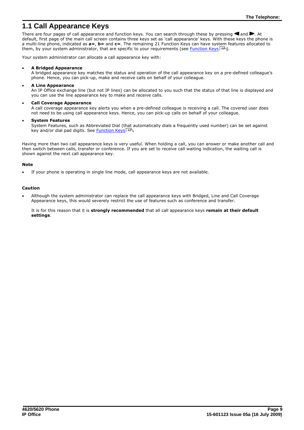## <span id="page-8-0"></span>**1.1 Call Appearance Keys**

There are four pages of call appearance and function keys. You can search through these by pressing  $\blacksquare$  and  $\blacksquare$ . At default, first page of the main call screen contains three keys set as 'call appearance' keys. With these keys the phone is a multi-line phone, indicated as **a=**, **b=** and **c=**. The remaining 21 Function Keys can have system features allocated to them, by your system administrator, that are specific to your requirements (see <u>[Function Keys](#page-43-0)</u> 44ª).

Your system administrator can allocate a call appearance key with:

#### · **A Bridged Appearance**

A bridged appearance key matches the status and operation of the call appearance key on a pre-defined colleague's phone. Hence, you can pick-up, make and receive calls on behalf of your colleague.

· **A Line Appearance**

An IP Office exchange line (but not IP lines) can be allocated to you such that the status of that line is displayed and you can use the line appearance key to make and receive calls.

· **Call Coverage Appearance**

A call coverage appearance key alerts you when a pre-defined colleague is receiving a call. The covered user does not need to be using call appearance keys. Hence, you can pick-up calls on behalf of your colleague.

· **System Features**

System Features, such as Abbreviated Dial (that automatically dials a frequently used number) can be set against key and/or dial pad digits. See <u>[Function Keys](#page-43-0)</u> 44 .

Having more than two call appearance keys is very useful. When holding a call, you can answer or make another call and then switch between calls, transfer or conference. If you are set to receive call waiting indication, the waiting call is shown against the next call appearance key.

#### **Note**

If your phone is operating in single line mode, call appearance keys are not available.

#### **Caution**

· Although the system administrator can replace the call appearance keys with Bridged, Line and Call Coverage Appearance keys, this would severely restrict the use of features such as conference and transfer.

It is for this reason that it is **strongly recommended** that all call appearance keys **remain at their default settings**.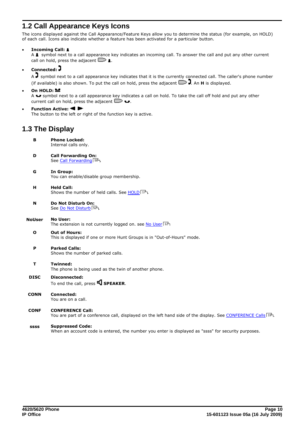## <span id="page-9-0"></span>**1.2 Call Appearance Keys Icons**

The icons displayed against the Call Appearance/Feature Keys allow you to determine the status (for example, on HOLD) of each call. Icons also indicate whether a feature has been activated for a particular button.

· **Incoming Call:** 

A **1** symbol next to a call appearance key indicates an incoming call. To answer the call and put any other current call on hold, press the adjacent  $\Box$  1.

· **Connected:** 

 $A \overline{J}$  symbol next to a call appearance key indicates that it is the currently connected call. The caller's phone number (if available) is also shown. To put the call on hold, press the adjacent  $\Box$ ). An **H** is displayed.

On HOLD: **₩** 

A  $\blacktriangleright$  symbol next to a call appearance key indicates a call on hold. To take the call off hold and put any other current call on hold, press the adjacent  $\Box \bullet$ .

**Function Active: 4 >** The button to the left or right of the function key is active.

## <span id="page-9-1"></span>**1.3 The Display**

- **B Phone Locked:** Internal calls only.
- **D Call Forwarding On:** See <u>Call Forwarding</u> 50 .
- **G In Group:** You can enable/disable group membership.
- **H Held Call:** Shows the number of held calls. See [HOLD](#page-16-2) 174.
- **N Do Not Disturb On:** See <mark>Do Not Disturb</mark> 52 .
- **NoUser No User:** The extension is not currently logged on. see <mark>No User</mark>| 12<del>`</del>1
	- **O Out of Hours:** This is displayed if one or more Hunt Groups is in "Out-of-Hours" mode.
	- **P Parked Calls:** Shows the number of parked calls.
	- **T Twinned:** The phone is being used as the twin of another phone.
- **DISC Disconnected:** To end the call, press **S** SPEAKER.
- **CONN Connected:** You are on a call.
- **CONF CONFERENCE Call:** You are part of a conference call, displayed on the left hand side of the display. See <u>[CONFERENCE Calls](#page-18-0)</u> 19 and th

#### **ssss Suppressed Code:**

When an account code is entered, the number you enter is displayed as "ssss" for security purposes.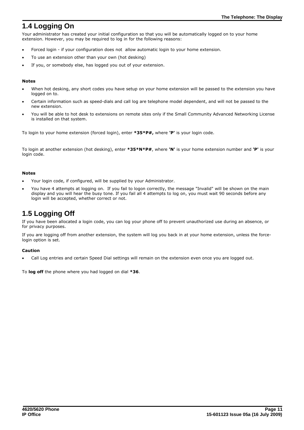## <span id="page-10-0"></span>**1.4 Logging On**

Your administrator has created your initial configuration so that you will be automatically logged on to your home extension. However, you may be required to log in for the following reasons:

- · Forced login if your configuration does not allow automatic login to your home extension.
- To use an extension other than your own (hot desking)
- If you, or somebody else, has logged you out of your extension.

## **Notes**

- When hot desking, any short codes you have setup on your home extension will be passed to the extension you have logged on to.
- Certain information such as speed-dials and call log are telephone model dependent, and will not be passed to the new extension.
- · You will be able to hot desk to extensions on remote sites only if the Small Community Advanced Networking License is installed on that system.

To login to your home extension (forced login), enter **\*35\*P#,** where **'P'** is your login code.

To login at another extension (hot desking), enter **\*35\*N\*P#**, where **'N'** is your home extension number and **'P'** is your login code.

## **Notes**

- Your login code, if configured, will be supplied by your Administrator.
- · You have 4 attempts at logging on. If you fail to logon correctly, the message "Invalid" will be shown on the main display and you will hear the busy tone. If you fail all 4 attempts to log on, you must wait 90 seconds before any login will be accepted, whether correct or not.

## <span id="page-10-1"></span>**1.5 Logging Off**

If you have been allocated a login code, you can log your phone off to prevent unauthorized use during an absence, or for privacy purposes.

If you are logging off from another extension, the system will log you back in at your home extension, unless the forcelogin option is set.

## **Caution**

· Call Log entries and certain Speed Dial settings will remain on the extension even once you are logged out.

To **log off** the phone where you had logged on dial **\*36**.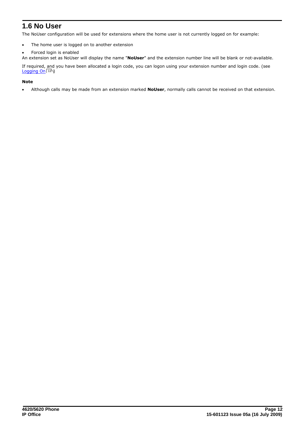## <span id="page-11-0"></span>**1.6 No User**

The NoUser configuration will be used for extensions where the home user is not currently logged on for example:

- · The home user is logged on to another extension
- Forced login is enabled

An extension set as NoUser will display the name "**NoUser**" and the extension number line will be blank or not-available.

If required, and you have been allocated a login code, you can logon using your extension number and login code. (see [Logging On](#page-10-0) 11h)

## **Note**

· Although calls may be made from an extension marked **NoUser**, normally calls cannot be received on that extension.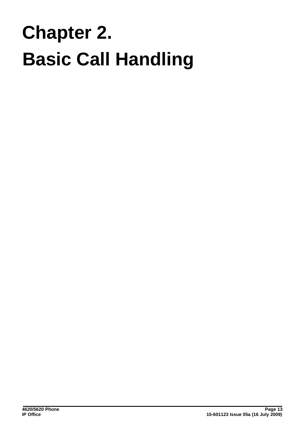## **Basic Call Handling Chapter 2.**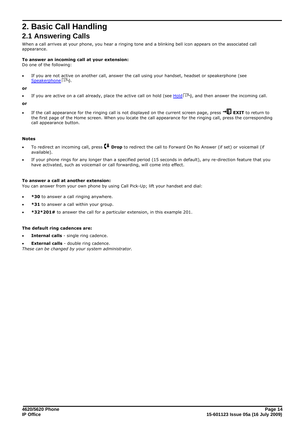## <span id="page-13-0"></span>**2. Basic Call Handling 2.1 Answering Calls**

When a call arrives at your phone, you hear a ringing tone and a blinking bell icon appears on the associated call appearance.

#### **To answer an incoming call at your extension:**

Do one of the following:

If you are not active on another call, answer the call using your handset, headset or speakerphone (see [Speakerphone](#page-16-0) | 174).

**or**

• If you are active on a call already, place the active call on hold (see [Hold](#page-16-2)  $\ket{17^2}$ ), and then answer the incoming call.

**or**

If the call appearance for the ringing call is not displayed on the current screen page, press  $\rightarrow \mathbb{L}$  EXIT to return to the first page of the Home screen. When you locate the call appearance for the ringing call, press the corresponding call appearance button.

#### **Notes**

- · To redirect an incoming call, press **Drop** to redirect the call to Forward On No Answer (if set) or voicemail (if available).
- If your phone rings for any longer than a specified period (15 seconds in default), any re-direction feature that you have activated, such as voicemail or call forwarding, will come into effect.

#### **To answer a call at another extension:**

You can answer from your own phone by using Call Pick-Up; lift your handset and dial:

- · **\*30** to answer a call ringing anywhere.
- · **\*31** to answer a call within your group.
- · **\*32\*201#** to answer the call for a particular extension, in this example 201.

#### **The default ring cadences are:**

- · **Internal calls** single ring cadence.
- **External calls** double ring cadence. *These can be changed by your system administrator.*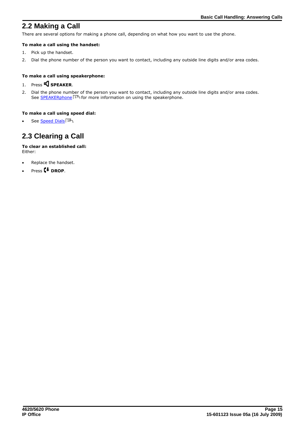## <span id="page-14-0"></span>**2.2 Making a Call**

There are several options for making a phone call, depending on what how you want to use the phone.

## **To make a call using the handset:**

- 1. Pick up the handset.
- 2. Dial the phone number of the person you want to contact, including any outside line digits and/or area codes.

#### **To make a call using speakerphone:**

## 1. Press **S** SPEAKER.

2. Dial the phone number of the person you want to contact, including any outside line digits and/or area codes. See [SPEAKERphone](#page-16-0) | 17<sup>4</sup> for more information on using the speakerphone.

#### **To make a call using speed dial:**

• See <u>Speed Dials</u> 184.

## <span id="page-14-1"></span>**2.3 Clearing a Call**

#### **To clear an established call:** Either:

- · Replace the handset.
- Press **<sup>+</sup>** DROP.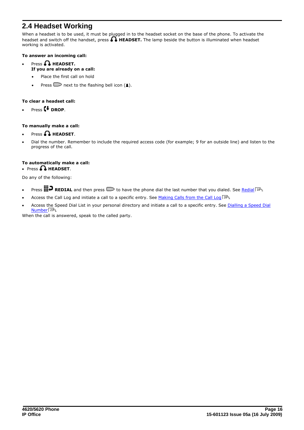## <span id="page-15-0"></span>**2.4 Headset Working**

When a headset is to be used, it must be plugged in to the headset socket on the base of the phone. To activate the headset and switch off the handset, press  $\bigcap$  **HEADSET.** The lamp beside the button is illuminated when headset working is activated.

## **To answer an incoming call:**

- Press **A** HEADSET. **If you are already on a call:**
	- Place the first call on hold
	- Press  $\Box$  next to the flashing bell icon (1).

## **To clear a headset call:**

Press **C**<sup>+</sup> DROP.

## **To manually make a call:**

- Press **n** HEADSET.
- Dial the number. Remember to include the required access code (for example; 9 for an outside line) and listen to the progress of the call.

## **To automatically make a call:**

## • Press **A HEADSET**.

Do any of the following:

- Press **III + REDIAL** and then press  $\Box$  to have the phone dial the last number that you dialed. See <u>Redial</u> 18<sup>4</sup>
- Access the Call Log and initiate a call to a specific entry. See [Making Calls from the Call Log](#page-27-0)  $^{28}$ .
- Access the Speed Dial List in your personal directory and initiate a call to a specific entry. See [Dialling a Speed Dial](#page-22-0) <mark>[Number](#page-22-0)</mark> 23 .

When the call is answered, speak to the called party.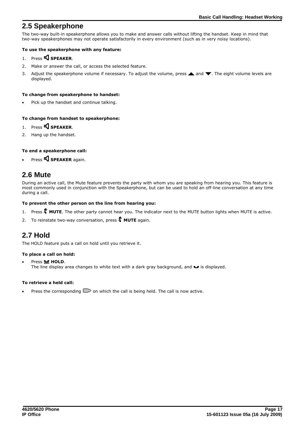## <span id="page-16-0"></span>**2.5 Speakerphone**

The two-way built-in speakerphone allows you to make and answer calls without lifting the handset. Keep in mind that two-way speakerphones may not operate satisfactorily in every environment (such as in very noisy locations).

## **To use the speakerphone with any feature:**

- 1. Press **S** SPEAKER.
- 2. Make or answer the call, or access the selected feature.
- 3. Adjust the speakerphone volume if necessary. To adjust the volume, press  $\triangle$  and  $\blacktriangledown$ . The eight volume levels are displayed.

### **To change from speakerphone to handset:**

Pick up the handset and continue talking.

## **To change from handset to speakerphone:**

- 1. Press **SPEAKER**.
- 2. Hang up the handset.

## **To end a speakerphone call:**

Press **SI** SPEAKER again.

## <span id="page-16-1"></span>**2.6 Mute**

During an active call, the Mute feature prevents the party with whom you are speaking from hearing you. This feature is most commonly used in conjunction with the Speakerphone, but can be used to hold an off-line conversation at any time during a call.

## **To prevent the other person on the line from hearing you:**

- 1. Press **X** MUTE. The other party cannot hear you. The indicator next to the MUTE button lights when MUTE is active.
- 2. To reinstate two-way conversation, press **4 MUTE** again.

## <span id="page-16-2"></span>**2.7 Hold**

The HOLD feature puts a call on hold until you retrieve it.

#### **To place a call on hold:**

**Press <b>HOLD**. The line display area changes to white text with a dark gray background, and  $\blacktriangleright$  is displayed.

## **To retrieve a held call:**

Press the corresponding  $\Box$  on which the call is being held. The call is now active.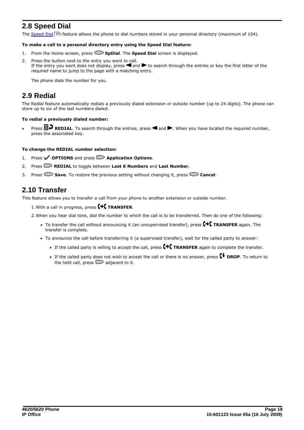## <span id="page-17-0"></span>**2.8 Speed Dial**

The [Speed Dial](#page-21-0)l <sup>22</sup> feature allows the phone to dial numbers stored in your personal directory (maximum of 104).

#### **To make a call to a personal directory entry using the Speed Dial feature:**

- 1. From the Home screen, press **SpDial**. The **Speed Dial** screen is displayed.
- 2. Press the button next to the entry you want to call. If the entry you want does not display, press  $\blacksquare$  and  $\bigsqcup$  to search through the entries or key the first letter of the required name to jump to the page with a matching entry.

The phone dials the number for you.

## <span id="page-17-1"></span>**2.9 Redial**

The Redial feature automatically redials a previously dialed extension or outside number (up to 24 digits). The phone can store up to six of the last numbers dialed.

#### **To redial a previously dialed number:**

Press **III.** REDIAL. To search through the entries, press **4** and **ALG**. When you have located the required number, press the associated key.

#### **To change the REDIAL number selection:**

- 1. Press **OPTIONS** and press **Application Options**.
- 2. Press **REDIAL** to toggle between **Last 6 Numbers** and **Last Number**.
- 3. Press **Save**. To restore the previous setting without changing it, press **Cancel**.

## <span id="page-17-2"></span>**2.10 Transfer**

This feature allows you to transfer a call from your phone to another extension or outside number.

1.With a call in progress, press **TRANSFER**.

2.When you hear dial tone, dial the number to which the call is to be transferred. Then do one of the following:

- To transfer the call without announcing it (an unsupervised transfer), press  $\blacksquare\vdash\blacksquare$  TRANSFER again. The transfer is complete.
- · To announce the call before transferring it (a supervised transfer), wait for the called party to answer:
	- If the called party is willing to accept the call, press  $\Box$  **TRANSFER** again to complete the transfer.
	- If the called party does not wish to accept the call or there is no answer, press **C+ DROP**. To return to the held call, press  $\Box$  adjacent to it.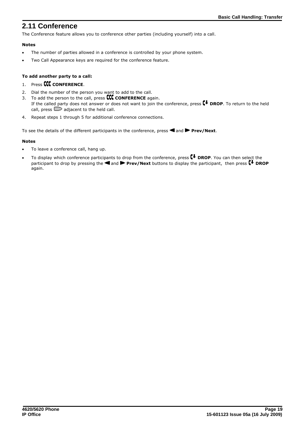## <span id="page-18-0"></span>**2.11 Conference**

The Conference feature allows you to conference other parties (including yourself) into a call.

## **Notes**

- · The number of parties allowed in a conference is controlled by your phone system.
- · Two Call Appearance keys are required for the conference feature.

## **To add another party to a call:**

## 1. Press **CCC** CONFERENCE.

- 2. Dial the number of the person you want to add to the call.
- 3. To add the person to the call, press **CONFERENCE** again. If the called party does not answer or does not want to join the conference, press **C+ DROP**. To return to the held call, press  $\Box$  adjacent to the held call.
- 4. Repeat steps 1 through 5 for additional conference connections.

To see the details of the different participants in the conference, press **4** and **PP Prev/Next**.

## **Notes**

- To leave a conference call, hang up.
- To display which conference participants to drop from the conference, press **(+ DROP**. You can then select the participant to drop by pressing the **4** and **Prev/Next** buttons to display the participant, then press  $\mathbf{F}$  DROP again.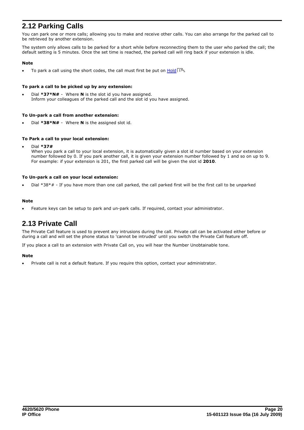## <span id="page-19-0"></span>**2.12 Parking Calls**

You can park one or more calls; allowing you to make and receive other calls. You can also arrange for the parked call to be retrieved by another extension.

The system only allows calls to be parked for a short while before reconnecting them to the user who parked the call; the default setting is 5 minutes. Once the set time is reached, the parked call will ring back if your extension is idle.

#### **Note**

• To park a call using the short codes, the call must first be put on [Hold](#page-16-2) 17<sup>4</sup>.

#### **To park a call to be picked up by any extension:**

Dial \*37\*N# - Where N is the slot id you have assigned. Inform your colleagues of the parked call and the slot id you have assigned.

#### **To Un-park a call from another extension:**

Dial \*38\*N# - Where N is the assigned slot id.

#### **To Park a call to your local extension:**

· Dial **\*37#**

When you park a call to your local extension, it is automatically given a slot id number based on your extension number followed by 0. If you park another call, it is given your extension number followed by 1 and so on up to 9. For example: if your extension is 201, the first parked call will be given the slot id **2010**.

#### **To Un-park a call on your local extension:**

Dial \*38\*# - If you have more than one call parked, the call parked first will be the first call to be unparked

#### **Note**

Feature keys can be setup to park and un-park calls. If required, contact your administrator.

## <span id="page-19-1"></span>**2.13 Private Call**

The Private Call feature is used to prevent any intrusions during the call. Private call can be activated either before or during a call and will set the phone status to 'cannot be intruded' until you switch the Private Call feature off.

If you place a call to an extension with Private Call on, you will hear the Number Unobtainable tone.

#### **Note**

Private call is not a default feature. If you require this option, contact your administrator.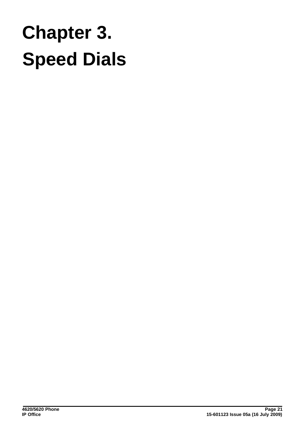## **Speed Dials Chapter 3.**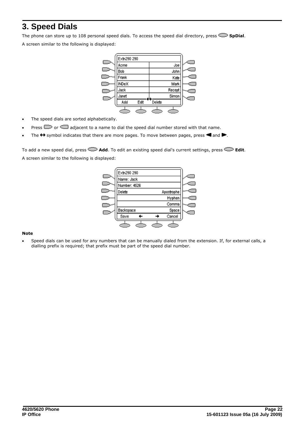## <span id="page-21-0"></span>**3. Speed Dials**

The phone can store up to 108 personal speed dials. To access the speed dial directory, press **SpDial**.

A screen similar to the following is displayed:

| Extn290 290  |      |        |        |  |
|--------------|------|--------|--------|--|
| Асте         |      |        | Joe    |  |
| Bob          |      |        | John   |  |
| Frank        |      |        | Kate   |  |
| <b>INDeX</b> |      |        | Mark   |  |
| Jack         |      |        | Recept |  |
| Janet        |      |        | Simon  |  |
| Add          | Edit | Delete |        |  |
|              |      |        |        |  |

- · The speed dials are sorted alphabetically.
- Press  $\Box$  or  $\Box$  adjacent to a name to dial the speed dial number stored with that name.
- The  $\leftrightarrow$  symbol indicates that there are more pages. To move between pages, press  $\blacktriangleleft$  and  $\blacktriangleright$ .

To add a new speed dial, press **Add**. To edit an existing speed dial's current settings, press **Edit**. A screen similar to the following is displayed:



#### **Note**

Speed dials can be used for any numbers that can be manually dialed from the extension. If, for external calls, a dialling prefix is required; that prefix must be part of the speed dial number.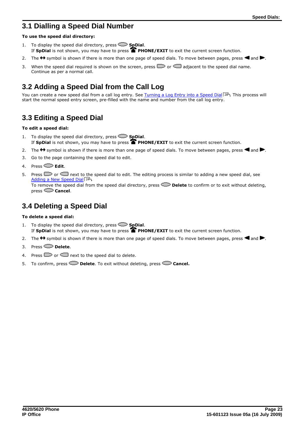## <span id="page-22-0"></span>**3.1 Dialling a Speed Dial Number**

## **To use the speed dial directory:**

- 1. To display the speed dial directory, press  $\sum$  **SpDial**. If SpDial is not shown, you may have to press **PHONE/EXIT** to exit the current screen function.
- 2. The  $\leftrightarrow$  symbol is shown if there is more than one page of speed dials. To move between pages, press  $\blacktriangleleft$  and  $\blacktriangleright$ .
- 3. When the speed dial required is shown on the screen, press  $\Box$  or  $\Box$  adjacent to the speed dial name. Continue as per a normal call.

## <span id="page-22-1"></span>**3.2 Adding a Speed Dial from the Call Log**

You can create a new speed dial from a call log entry. See <u>[Turning a Log Entry into a Speed Dial](#page-27-1)</u>l 28<sup>5</sup>. This process will start the normal speed entry screen, pre-filled with the name and number from the call log entry.

## <span id="page-22-2"></span>**3.3 Editing a Speed Dial**

## **To edit a speed dial:**

- 1. To display the speed dial directory, press **SpDial**. If **SpDial** is not shown, you may have to press **PHONE/EXIT** to exit the current screen function.
- 2. The  $\leftrightarrow$  symbol is shown if there is more than one page of speed dials. To move between pages, press  $\blacktriangleleft$  and  $\blacktriangleright$ .
- 3. Go to the page containing the speed dial to edit.
- 4. Press **Edit**.
- 5. Press  $\Box$  or  $\Box$  next to the speed dial to edit. The editing process is similar to adding a new speed dial, see [Adding a New Speed Dial](#page-23-0) 24<sup>4</sup>. To remove the speed dial from the speed dial directory, press **Delete** to confirm or to exit without deleting,

press **Cancel**.

## <span id="page-22-3"></span>**3.4 Deleting a Speed Dial**

## **To delete a speed dial:**

- 1. To display the speed dial directory, press **SpDial**. If SpDial is not shown, you may have to press **PHONE/EXIT** to exit the current screen function.
- 2. The  $\leftrightarrow$  symbol is shown if there is more than one page of speed dials. To move between pages, press  $\blacktriangleleft$  and  $\blacktriangleright$ .
- 3. Press **Delete**.
- 4. Press  $\Box$  or  $\Box$  next to the speed dial to delete.
- 5. To confirm, press **Delete**. To exit without deleting, press **Cancel.**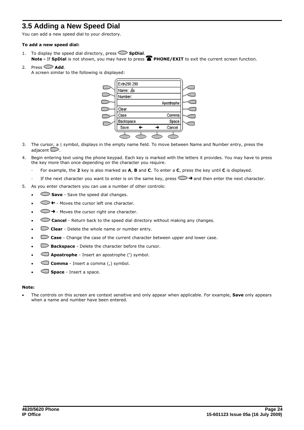## <span id="page-23-0"></span>**3.5 Adding a New Speed Dial**

You can add a new speed dial to your directory.

#### **To add a new speed dial:**

- 1. To display the speed dial directory, press **SpDial**. **Note - If SpDial** is not shown, you may have to press **PHONE/EXIT** to exit the current screen function.
- 2. Press  $\sum$  **Add.** 
	- A screen similar to the following is displayed:



- 3. The cursor, a | symbol, displays in the empty name field. To move between Name and Number entry, press the adjacent  $\Box$ .
- 4. Begin entering text using the phone keypad. Each key is marked with the letters it provides. You may have to press the key more than once depending on the character you require.
	- · For example, the **2** key is also marked as **A**, **B** and **C**. To enter a **C**, press the key until **C** is displayed.
	- If the next character you want to enter is on the same key, press  $\Box$   $\rightarrow$  and then enter the next character.
- 5. As you enter characters you can use a number of other controls:
	- **Save** Save the speed dial changes.
	- $\bigcirc$  + Moves the cursor left one character.
	- $\circ$  + Moves the cursor right one character.
	- **Cancel** Return back to the speed dial directory without making any changes.
	- **Clear** Delete the whole name or number entry.
	- **Case** Change the case of the current character between upper and lower case.
	- **ED** Backspace Delete the character before the cursor.
	- · **Apostrophe** Insert an apostrophe (') symbol.
	- Comma Insert a comma (,) symbol.
	- · **Space** Insert a space.

#### **Note:**

· The controls on this screen are context sensitive and only appear when applicable. For example, **Save** only appears when a name and number have been entered.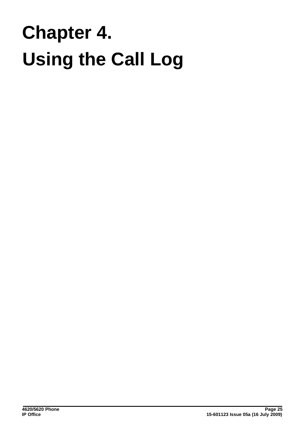# **Using the Call Log Chapter 4.**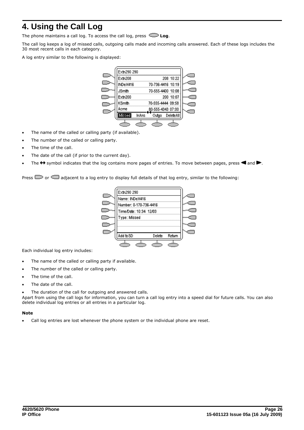## <span id="page-25-0"></span>**4. Using the Call Log**

The phone maintains a call log. To access the call log, press  $\subseteq$  **Log**.

The call log keeps a log of missed calls, outgoing calls made and incoming calls answered. Each of these logs includes the 30 most recent calls in each category.

A log entry similar to the following is displayed:

| Extn290 290   |              |                   |           |  |
|---------------|--------------|-------------------|-----------|--|
| Extn208       |              |                   | 208 10:22 |  |
| INDeX416      |              | 70-736-4416 10:19 |           |  |
| <b>JSmith</b> |              | 70-555-4400 10:08 |           |  |
| Extn200       |              |                   | 200 10:07 |  |
| KSmith        |              | 70-555-4444 09:58 |           |  |
| Асте          |              | 80-555-4343 07:00 |           |  |
| Missed        | <b>InAns</b> | Outdo             | DeleteAll |  |
|               |              |                   |           |  |

- · The name of the called or calling party (if available).
- The number of the called or calling party.
- The time of the call.
- · The date of the call (if prior to the current day).
- The  $\leftrightarrow$  symbol indicates that the log contains more pages of entries. To move between pages, press  $\blacktriangleleft$  and  $\blacktriangleright$ .

Press  $\Box$  or  $\Box$  adjacent to a log entry to display full details of that log entry, similar to the following:

| Extn290 290                  |  |  |
|------------------------------|--|--|
| Name: INDeX416               |  |  |
| Number: 0-170-736-4416       |  |  |
| Time/Date: 10:34 12/03       |  |  |
| Type: Missed                 |  |  |
|                              |  |  |
|                              |  |  |
| Add to SD<br>Retum<br>Delete |  |  |
|                              |  |  |

Each individual log entry includes:

- · The name of the called or calling party if available.
- · The number of the called or calling party.
- The time of the call.
- · The date of the call.
- The duration of the call for outgoing and answered calls.

Apart from using the call logs for information, you can turn a call log entry into a speed dial for future calls. You can also delete individual log entries or all entries in a particular log.

#### **Note**

· Call log entries are lost whenever the phone system or the individual phone are reset.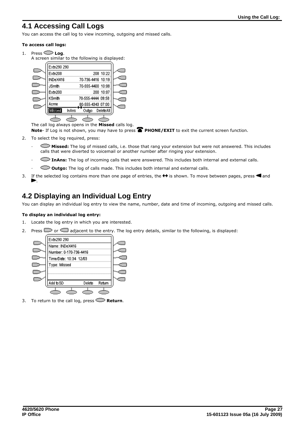## <span id="page-26-0"></span>**4.1 Accessing Call Logs**

You can access the call log to view incoming, outgoing and missed calls.

#### **To access call logs:**

- 1. Press  $\bigcirc$  **Log**.
	- A screen similar to the following is displayed:



The call log always opens in the **Missed** calls log.

Note- If Log is not shown, you may have to press **PHONE/EXIT** to exit the current screen function.

- 
- 2. To select the log required, press:<br>**•• Missed:** The log of missed calls, i.e. those that rang your extension but were not answered. This includes calls that were diverted to voicemail or another number after ringing your extension.
	- · **InAns:** The log of incoming calls that were answered. This includes both internal and external calls.
	- · **Outgo:** The log of calls made. This includes both internal and external calls.
- 3. If the selected log contains more than one page of entries, the  $\leftrightarrow$  is shown. To move between pages, press  $\blacktriangleleft$  and .

## <span id="page-26-1"></span>**4.2 Displaying an Individual Log Entry**

You can display an individual log entry to view the name, number, date and time of incoming, outgoing and missed calls.

## **To display an individual log entry:**

- 1. Locate the log entry in which you are interested.
- 2. Press  $\Box$  or  $\Box$  adjacent to the entry. The log entry details, similar to the following, is displayed:



3. To return to the call log, press  $\mathbb{C}\mathbb{P}$  **Return**.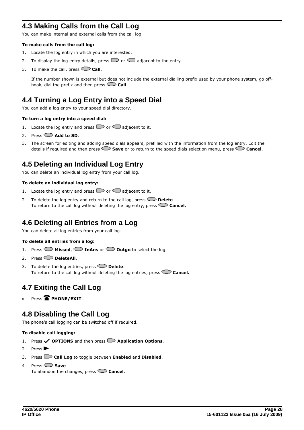## <span id="page-27-0"></span>**4.3 Making Calls from the Call Log**

You can make internal and external calls from the call log.

#### **To make calls from the call log:**

- 1. Locate the log entry in which you are interested.
- 2. To display the log entry details, press  $\Box$  or  $\Box$  adjacent to the entry.
- 3. To make the call, press  $\sim$  **Call**.

If the number shown is external but does not include the external dialling prefix used by your phone system, go offhook, dial the prefix and then press **Call**.

## <span id="page-27-1"></span>**4.4 Turning a Log Entry into a Speed Dial**

You can add a log entry to your speed dial directory.

#### **To turn a log entry into a speed dial:**

- 1. Locate the log entry and press  $\Box$  or  $\Box$  adjacent to it.
- 2. Press  $\bigcirc$  **Add to SD.**
- 3. The screen for editing and adding speed dials appears, prefilled with the information from the log entry. Edit the details if required and then press **Save** or to return to the speed dials selection menu, press **Cancel**.

## <span id="page-27-2"></span>**4.5 Deleting an Individual Log Entry**

You can delete an individual log entry from your call log.

#### **To delete an individual log entry:**

- 1. Locate the log entry and press  $\Box$  or  $\Box$  adjacent to it.
- 2. To delete the log entry and return to the call log, press  $\heartsuit$  **Delete**. To return to the call log without deleting the log entry, press **Cancel.**

## <span id="page-27-3"></span>**4.6 Deleting all Entries from a Log**

You can delete all log entries from your call log.

#### **To delete all entries from a log:**

- 1. Press **Missed**, **InAns** or **Outgo** to select the log.
- 2. Press **DeleteAll.**
- 3. To delete the log entries, press **Delete**. To return to the call log without deleting the log entries, press **Cancel.**

## <span id="page-27-4"></span>**4.7 Exiting the Call Log**

Press<sup>T</sup>PHONE/EXIT.

## <span id="page-27-5"></span>**4.8 Disabling the Call Log**

The phone's call logging can be switched off if required.

#### **To disable call logging:**

- 1. Press **OPTIONS** and then press **Application Options**.
- 2. Press $\blacktriangleright$ .
- 3. Press **Call Log** to toggle between **Enabled** and **Disabled**.
- 4. Press **Save**.

To abandon the changes, press **Cancel**.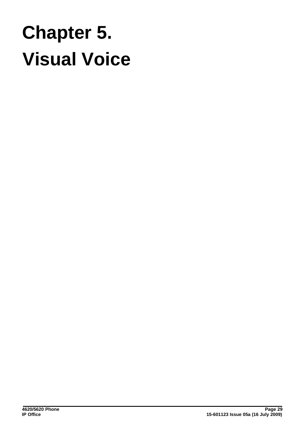## **Visual Voice Chapter 5.**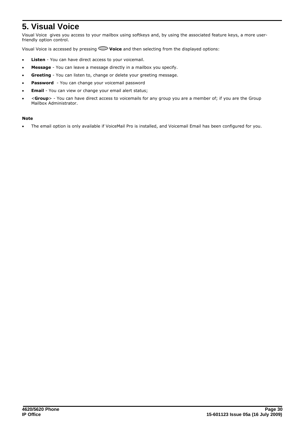## <span id="page-29-0"></span>**5. Visual Voice**

Visual Voice gives you access to your mailbox using softkeys and, by using the associated feature keys, a more userfriendly option control.<br>Visual Voice is accessed by pressing **Voice** and then selecting from the displayed options:

- · **Listen** You can have direct access to your voicemail.
- · **Message** You can leave a message directly in a mailbox you specify.
- · **Greeting** You can listen to, change or delete your greeting message.
- Password You can change your voicemail password
- · **Email** You can view or change your email alert status;
- · <**Group**> You can have direct access to voicemails for any group you are a member of; if you are the Group Mailbox Administrator.

#### **Note**

· The email option is only available if VoiceMail Pro is installed, and Voicemail Email has been configured for you.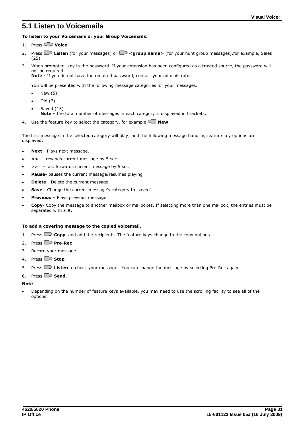## <span id="page-30-0"></span>**5.1 Listen to Voicemails**

#### **To listen to your Voicemails or your Group Voicemails:**

- 1. Press **Voice**.
- 2. Press **Listen** (for your messages) or **Skytter of the School name>** (for your hunt group messages), for example, Sales (25).
- 3. When prompted, key in the password. If your extension has been configured as a trusted source, the password will not be required. **Note -** If you do not have the required password, contact your administrator.

You will be presented with the following message categories for your messages:

- New (5)
- · Old (7)
- Saved (13) **Note -** The total number of messages in each category is displayed in brackets.
- 4. Use the feature key to select the category, for example  $\Box$  **New**.

The first message in the selected category will play; and the following message handling feature key options are displayed:

- · **Next** Plays next message.
- · **<<**  rewinds current message by 5 sec
- · >> fast forwards current message by 5 sec
- Pause- pauses the current message/resumes playing
- **Delete** Delete the current message.
- · **Save**  Change the current message's category to 'saved'
- **Previous** Plays previous message
- · **Copy** Copy the message to another mailbox or mailboxes. If selecting more than one mailbox, the entries must be separated with a **#**.

#### **To add a covering message to the copied voicemail.**

- 1. Press **Copy**, and add the recipients. The feature keys change to the copy options.
- 2. Press **Pre-Rec**
- 3. Record your message
- 4. Press **Stop**
- 5. Press **Listen** to check your message. You can change the message by selecting Pre-Rec again.
- 6. Press  $\Box$  **Send**.

#### **Note**

Depending on the number of feature keys available, you may need to use the scrolling facility to see all of the options.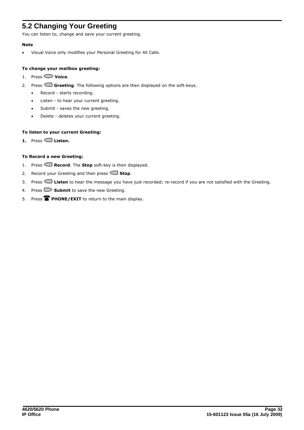## <span id="page-31-0"></span>**5.2 Changing Your Greeting**

You can listen to, change and save your current greeting.

#### **Note**

· Visual Voice only modifies your Personal Greeting for All Calls.

#### **To change your mailbox greeting:**

- 1. Press **Voice**.
- 2. Press **Greeting**. The following options are then displayed on the soft-keys.
	- · Record starts recording.
	- · Listen to hear your current greeting.
	- · Submit saves the new greeting.
	- · Delete deletes your current greeting.

## **To listen to your current Greeting:**

**1.** Press **Listen.**

## **To Record a new Greeting:**

- 1. Press **Record**. The **Stop** soft-key is then displayed.
- 2. Record your Greeting and then press **Stop**.
- 3. Press **Listen** to hear the message you have just recorded; re-record if you are not satisfied with the Greeting.
- 4. Press  $\Box$  **Submit** to save the new Greeting.
- 5. Press **PHONE/EXIT** to return to the main display.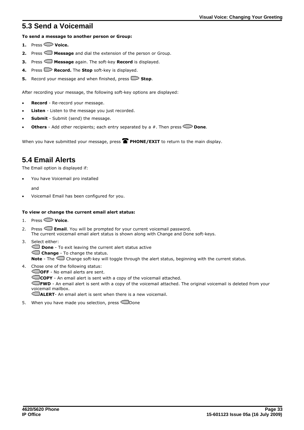## <span id="page-32-0"></span>**5.3 Send a Voicemail**

## **To send a message to another person or Group:**

- **1.** Press **Voice.**
- **2.** Press **Message** and dial the extension of the person or Group.
- **3.** Press  $\Box$  **Message** again. The soft-key **Record** is displayed.
- **4.** Press  $\Box$  **Record.** The **Stop** soft-key is displayed.
- **5.** Record your message and when finished, press  $\Box$  **Stop**.

After recording your message, the following soft-key options are displayed:

- **Record** Re-record your message.
- Listen Listen to the message you just recorded.
- **Submit** Submit (send) the message.
- **Others** Add other recipients; each entry separated by a  $#$ . Then press  $\bullet$  **Done**.

When you have submitted your message, press **PHONE/EXIT** to return to the main display.

## <span id="page-32-1"></span>**5.4 Email Alerts**

The Email option is displayed if:

You have Voicemail pro installed

and

· Voicemail Email has been configured for you.

## **To view or change the current email alert status:**

1. Press **Voice**.

2. Press **Email**. You will be prompted for your current voicemail password. The current voicemail email alert status is shown along with Change and Done soft-keys.

3. Select either:

**Done** - To exit leaving the current alert status active

**Change** - To change the status.

**Note** - The Change soft-key will toggle through the alert status, beginning with the current status.

4. Chose one of the following status:

**COFF** - No email alerts are sent. **COPY** - An email alert is sent with a copy of the voicemail attached.

**FWD** - An email alert is sent with a copy of the voicemail attached. The original voicemail is deleted from your voicemail mailbox.

**ALERT**- An email alert is sent when there is a new voicemail.

5. When you have made you selection, press  $\Box$ Done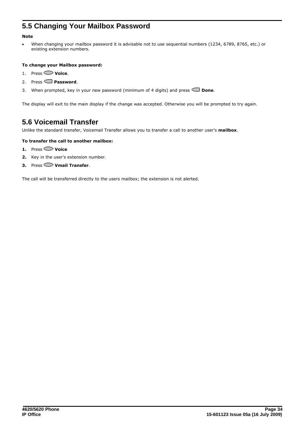## <span id="page-33-0"></span>**5.5 Changing Your Mailbox Password**

## **Note**

When changing your mailbox password it is advisable not to use sequential numbers (1234, 6789, 8765, etc.) or existing extension numbers.

#### **To change your Mailbox password:**

- 
- 1. Press **Voice**.<br>2. Press **Password.**
- 3. When prompted, key in your new password (minimum of 4 digits) and press **Done**.

The display will exit to the main display if the change was accepted. Otherwise you will be prompted to try again.

## <span id="page-33-1"></span>**5.6 Voicemail Transfer**

Unlike the standard transfer, Voicemail Transfer allows you to transfer a call to another user's **mailbox**.

#### **To transfer the call to another mailbox:**

- **1.** Press **Voice**
- **2.** Key in the user's extension number.
- **3.** Press **Vmail Transfer**.

The call will be transferred directly to the users mailbox; the extension is not alerted.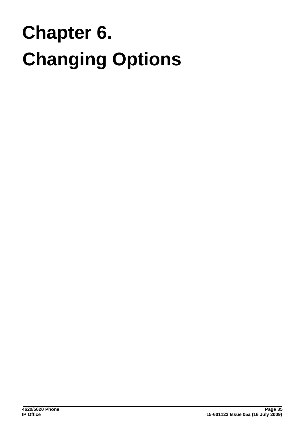# **Changing Options Chapter 6.**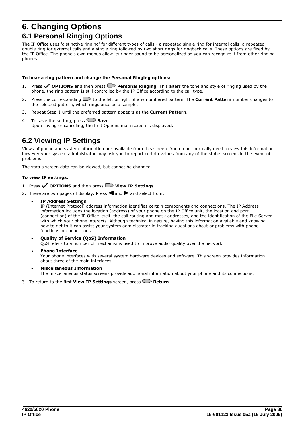## <span id="page-35-0"></span>**6. Changing Options 6.1 Personal Ringing Options**

The IP Office uses 'distinctive ringing' for different types of calls - a repeated single ring for internal calls, a repeated double ring for external calls and a single ring followed by two short rings for ringback calls. These options are fixed by the IP Office. The phone's own menus allow its ringer sound to be personalized so you can recognize it from other ringing phones.

### **To hear a ring pattern and change the Personal Ringing options:**

- 1. Press **OPTIONS** and then press **Personal Ringing**. This alters the tone and style of ringing used by the phone, the ring pattern is still controlled by the IP Office according to the call type.
- 2. Press the corresponding  $\Box$  to the left or right of any numbered pattern. The **Current Pattern** number changes to the selected pattern, which rings once as a sample.
- 3. Repeat Step 1 until the preferred pattern appears as the **Current Pattern**.
- 4. To save the setting, press **Save**. Upon saving or canceling, the first Options main screen is displayed.

## <span id="page-35-1"></span>**6.2 Viewing IP Settings**

Views of phone and system information are available from this screen. You do not normally need to view this information, however your system administrator may ask you to report certain values from any of the status screens in the event of problems.

The status screen data can be viewed, but cannot be changed.

## **To view IP settings:**

- 1. Press **OPTIONS** and then press **View IP Settings**.
- 2. There are two pages of display. Press  $\blacksquare$  and  $\blacksquare$  and select from:
	- · **IP Address Settings**

IP (Internet Protocol) address information identifies certain components and connections. The IP Address information includes the location (address) of your phone on the IP Office unit, the location and port (connection) of the IP Office itself, the call routing and mask addresses, and the identification of the File Server with which your phone interacts. Although technical in nature, having this information available and knowing how to get to it can assist your system administrator in tracking questions about or problems with phone functions or connections.

- · **Quality of Service (QoS) Information** QoS refers to a number of mechanisms used to improve audio quality over the network.
- · **Phone Interface** Your phone interfaces with several system hardware devices and software. This screen provides information about three of the main interfaces.
- · **Miscellaneous Information** The miscellaneous status screens provide additional information about your phone and its connections.
- 3. To return to the first **View IP Settings** screen, press **CD Return**.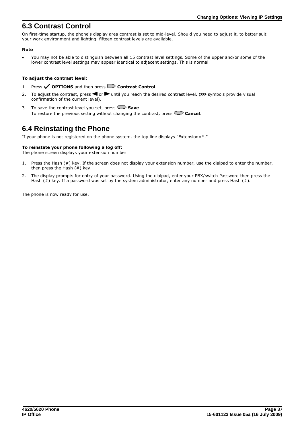## <span id="page-36-0"></span>**6.3 Contrast Control**

On first-time startup, the phone's display area contrast is set to mid-level. Should you need to adjust it, to better suit your work environment and lighting, fifteen contrast levels are available.

## **Note**

· You may not be able to distinguish between all 15 contrast level settings. Some of the upper and/or some of the lower contrast level settings may appear identical to adjacent settings. This is normal.

### **To adjust the contrast level:**

- 1. Press **OPTIONS** and then press **Contrast Control**.
- 2. To adjust the contrast, press  $\blacksquare$  or  $\blacksquare$  until you reach the desired contrast level. (>>> symbols provide visual confirmation of the current level).
- 3. To save the contrast level you set, press Save. To restore the previous setting without changing the contrast, press **Cancel**.

## <span id="page-36-1"></span>**6.4 Reinstating the Phone**

If your phone is not registered on the phone system, the top line displays "Extension=\*."

## **To reinstate your phone following a log off:**

The phone screen displays your extension number.

- 1. Press the Hash (#) key. If the screen does not display your extension number, use the dialpad to enter the number, then press the Hash  $(#)$  key.
- 2. The display prompts for entry of your password. Using the dialpad, enter your PBX/switch Password then press the Hash (#) key. If a password was set by the system administrator, enter any number and press Hash (#).

The phone is now ready for use.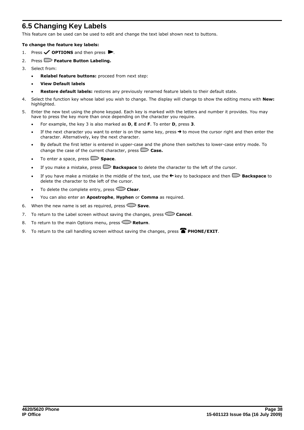## <span id="page-37-0"></span>**6.5 Changing Key Labels**

This feature can be used can be used to edit and change the text label shown next to buttons.

#### **To change the feature key labels:**

- 1. Press **OPTIONS** and then press  $\blacktriangleright$ .
- 2. Press **Peature Button Labeling.**
- 3. Select from:
	- **Relabel feature buttons:** proceed from next step:
	- · **View Default labels**
	- · **Restore default labels:** restores any previously renamed feature labels to their default state.
- 4. Select the function key whose label you wish to change. The display will change to show the editing menu with **New:** highlighted.
- 5. Enter the new text using the phone keypad. Each key is marked with the letters and number it provides. You may have to press the key more than once depending on the character you require.
	- · For example, the key 3 is also marked as **D**, **E** and **F**. To enter **D**, press **3**.
	- If the next character you want to enter is on the same key, press  $\rightarrow$  to move the cursor right and then enter the character. Alternatively, key the next character.
	- By default the first letter is entered in upper-case and the phone then switches to lower-case entry mode. To change the case of the current character, press **Case.**
	- To enter a space, press **Space**.
	- · If you make a mistake, press **Backspace** to delete the character to the left of the cursor.
	- If you have make a mistake in the middle of the text, use the  $\blacktriangle$  key to backspace and then  $\blacktriangleright$  **Backspace** to delete the character to the left of the cursor.
	- · To delete the complete entry, press **Clear**.
	- · You can also enter an **Apostrophe**, **Hyphen** or **Comma** as required.
- 6. When the new name is set as required, press Save.
- 7. To return to the Label screen without saving the changes, press **Cancel**.
- 8. To return to the main Options menu, press **Peturn**.
- 9. To return to the call handling screen without saving the changes, press **PHONE/EXIT**.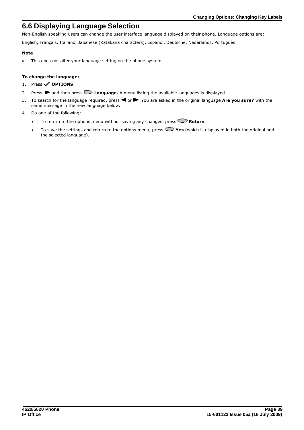## <span id="page-38-0"></span>**6.6 Displaying Language Selection**

Non-English speaking users can change the user interface language displayed on their phone. Language options are:

English, Français, Italiano, Japanese (Katakana characters), Español, Deutsche, Nederlands, Português.

## **Note**

· This does not alter your language setting on the phone system.

## **To change the language:**

- 1. Press **oPTIONS**.
- 2. Press  $\blacktriangleright$  and then press  $\blacktriangleright$  **Language.** A menu listing the available languages is displayed.
- 3. To search for the language required, press **4** or  $\blacktriangleright$ . You are asked in the original language **Are you sure?** with the same message in the new language below.
- 4. Do one of the following:
	- To return to the options menu without saving any changes, press  $\mathbb{C}$  **Return**.
	- · To save the settings and return to the options menu, press **Yes** (which is displayed in both the original and the selected language).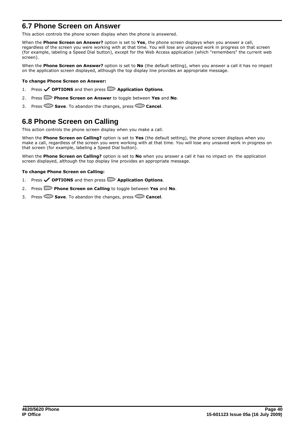## <span id="page-39-0"></span>**6.7 Phone Screen on Answer**

This action controls the phone screen display when the phone is answered.

When the **Phone Screen on Answer?** option is set to **Yes**, the phone screen displays when you answer a call, regardless of the screen you were working with at that time. You will lose any unsaved work in progress on that screen (for example, labeling a Speed Dial button), except for the Web Access application (which "remembers" the current web screen).

When the **Phone Screen on Answer?** option is set to **No** (the default setting), when you answer a call it has no impact on the application screen displayed, although the top display line provides an appropriate message.

#### **To change Phone Screen on Answer:**

- 1. Press  $\checkmark$  **OPTIONS** and then press  $\Box$  **Application Options**.
- 2. Press **Phone Screen on Answer** to toggle between **Yes** and **No**.
- 3. Press **Save**. To abandon the changes, press **Cancel**.

## <span id="page-39-1"></span>**6.8 Phone Screen on Calling**

This action controls the phone screen display when you make a call.

When the **Phone Screen on Calling?** option is set to **Yes** (the default setting), the phone screen displays when you make a call, regardless of the screen you were working with at that time. You will lose any unsaved work in progress on that screen (for example, labeling a Speed Dial button).

When the **Phone Screen on Calling?** option is set to **No** when you answer a call it has no impact on the application screen displayed, although the top display line provides an appropriate message.

#### **To change Phone Screen on Calling:**

- 1. Press **OPTIONS** and then press **Application Options**.
- 2. Press **Phone Screen on Calling** to toggle between **Yes** and **No**.
- 3. Press **Save**. To abandon the changes, press **Cancel**.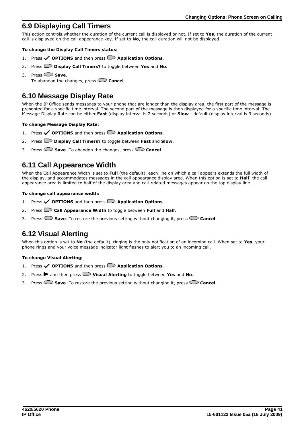## <span id="page-40-0"></span>**6.9 Displaying Call Timers**

This action controls whether the duration of the current call is displayed or not. If set to **Yes**, the duration of the current call is displayed on the call appearance key. If set to **No**, the call duration will not be displayed.

#### **To change the Display Call Timers status:**

- 1. Press **OPTIONS** and then press **Application Options**.
- 2. Press **Display Call Timers?** to toggle between **Yes** and **No**.
- 3. Press **Save**.

To abandon the changes, press **Cancel**.

## <span id="page-40-1"></span>**6.10 Message Display Rate**

When the IP Office sends messages to your phone that are longer than the display area, the first part of the message is presented for a specific time interval. The second part of the message is then displayed for a specific time interval. The Message Display Rate can be either **Fast** (display interval is 2 seconds) or **Slow** - default (display interval is 3 seconds).

#### **To change Message Display Rate:**

- 1. Press **OPTIONS** and then press **Application Options**.
- 2. Press **Display Call Timers?** to toggle between **Fast** and **Slow**.
- 3. Press **Save**. To abandon the changes, press **Cancel**.

## <span id="page-40-2"></span>**6.11 Call Appearance Width**

When the Call Appearance Width is set to **Full** (the default), each line on which a call appears extends the full width of the display, and accommodates messages in the call appearance display area. When this option is set to **Half**, the call appearance area is limited to half of the display area and call-related messages appear on the top display line.

#### **To change call appearance width:**

- 1. Press **OPTIONS** and then press **Application Options**.
- 2. Press **Call Appearance Width** to toggle between **Full** and **Half**.
- 3. Press **Save**. To restore the previous setting without changing it, press **Cancel**.

## <span id="page-40-3"></span>**6.12 Visual Alerting**

When this option is set to **No** (the default), ringing is the only notification of an incoming call. When set to **Yes**, your phone rings and your voice message indicator light flashes to alert you to an incoming call.

#### **To change Visual Alerting:**

- 1. Press **OPTIONS** and then press **Application Options**.
- 2. Press **•** and then press **D Visual Alerting** to toggle between Yes and No.
- 3. Press **Save**. To restore the previous setting without changing it, press **Cancel**.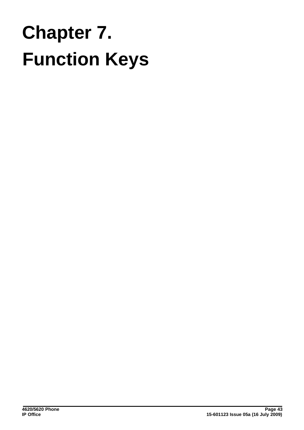# **Function Keys Chapter 7.**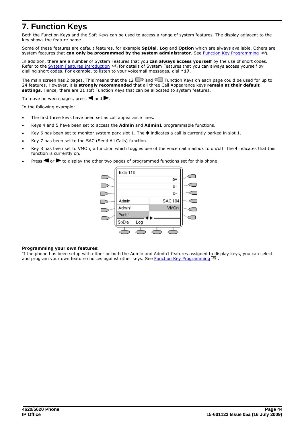## <span id="page-43-0"></span>**7. Function Keys**

Both the Function Keys and the Soft Keys can be used to access a range of system features. The display adjacent to the key shows the feature name.

Some of these features are default features, for example **SpDial**, **Log** and **Option** which are always available. Others are system features that **can only be programmed by the system administrator**. See <u>Function Key Programming</u> 145 at the strip.

In addition, there are a number of System Features that you **can always access yourself** by the use of short codes. Refer to the <u>System Features Introduction</u>|50<sup>s</sup> for details of System Features that you can always access yourself by dialling short codes. For example, to listen to your voicemail messages, dial **\*17**.

The main screen has 2 pages. This means that the 12  $\Box$  and  $\Box$  Function Keys on each page could be used for up to 24 features. However, it is **strongly recommended** that all three Call Appearance keys **remain at their default settings**. Hence, there are 21 soft Function Keys that can be allocated to system features.

To move between pages, press  $\triangleleft$  and  $\blacktriangleright$ .

In the following example:

- · The first three keys have been set as call appearance lines.
- · Keys 4 and 5 have been set to access the **Admin** and **Admin1** programmable functions.
- Key 6 has been set to monitor system park slot 1. The  $\blacklozenge$  indicates a call is currently parked in slot 1.
- Key 7 has been set to the SAC (Send All Calls) function.
- Key 8 has been set to VMOn, a function which toggles use of the voicemail mailbox to on/off. The  $\blacktriangleleft$  indicates that this function is currently on.
- Press  $\blacksquare$  or  $\blacktriangleright$  to display the other two pages of programmed functions set for this phone.



#### **Programming your own features:**

If the phone has been setup with either or both the Admin and Admin1 features assigned to display keys, you can select and program your own feature choices against other keys. See <u>[Function Key Programming](#page-44-0)</u> 45 A.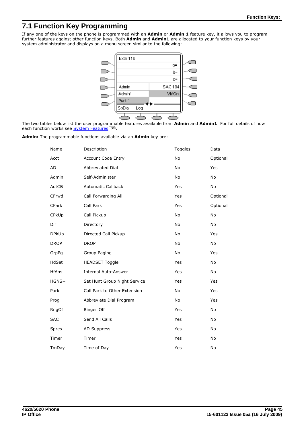## <span id="page-44-0"></span>**7.1 Function Key Programming**

If any one of the keys on the phone is programmed with an **Admin** or **Admin 1** feature key, it allows you to program further features against other function keys. Both **Admin** and **Admin1** are allocated to your function keys by your system administrator and displays on a menu screen similar to the following:



The two tables below list the user programmable features available from **Admin** and **Admin1**. For full details of how each function works see <u>[System Features](#page-49-0)</u> 50 ...

| Admin: The programmable functions available via an Admin key are: |  |
|-------------------------------------------------------------------|--|
|                                                                   |  |

| Name         | Description                  | Toggles   | Data      |
|--------------|------------------------------|-----------|-----------|
| Acct         | Account Code Entry           | <b>No</b> | Optional  |
| <b>AD</b>    | <b>Abbreviated Dial</b>      | <b>No</b> | Yes       |
| Admin        | Self-Administer              | No        | <b>No</b> |
| AutCB        | <b>Automatic Callback</b>    | Yes       | <b>No</b> |
| CFrwd        | Call Forwarding All          | Yes       | Optional  |
| CPark        | Call Park                    | Yes       | Optional  |
| CPkUp        | Call Pickup                  | <b>No</b> | <b>No</b> |
| Dir          | Directory                    | <b>No</b> | <b>No</b> |
| <b>DPkUp</b> | Directed Call Pickup         | No        | Yes       |
| <b>DROP</b>  | <b>DROP</b>                  | No        | No        |
| GrpPq        | Group Paging                 | No        | Yes       |
| HdSet        | <b>HEADSET Toggle</b>        | Yes       | No        |
| <b>HfAns</b> | <b>Internal Auto-Answer</b>  | Yes       | No        |
| HGNS+        | Set Hunt Group Night Service | Yes       | Yes       |
| Park         | Call Park to Other Extension | No        | Yes       |
| Prog         | Abbreviate Dial Program      | No        | Yes       |
| RngOf        | Ringer Off                   | Yes       | No        |
| <b>SAC</b>   | Send All Calls               | Yes       | No        |
| Spres        | AD Suppress                  | Yes       | No        |
| Timer        | Timer                        | Yes       | No        |
| TmDay        | Time of Day                  | Yes       | No        |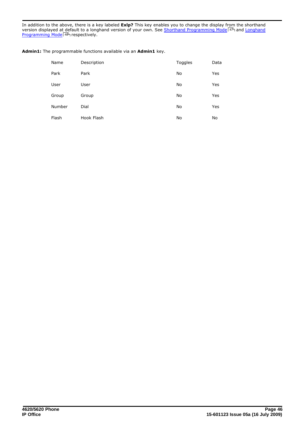In addition to the above, there is a key labeled **Exlp?** This key enables you to change the display from the shorthand version displayed at default to a longhand version of your own. See <u>[Shorthand Programming Mode](#page-46-0)</u> | 47<sup>5</sup> and <u>Longhand</u> [Programming Mode](#page-47-0) 48 respectively. <sup>47</sup> and 48

| Name   | Description | Toggles | Data |
|--------|-------------|---------|------|
| Park   | Park        | No      | Yes  |
| User   | User        | No      | Yes  |
| Group  | Group       | No      | Yes  |
| Number | Dial        | No      | Yes  |
| Flash  | Hook Flash  | No      | No   |

**Admin1:** The programmable functions available via an **Admin1** key.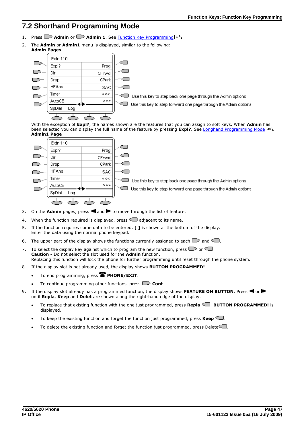## <span id="page-46-0"></span>**7.2 Shorthand Programming Mode**

- **1.** Press **Admin** or **Admin 1**. See <u>Function Key Programming</u>  $\left(45\right)$ .
- 2. The **Admin** or **Admin1** menu is displayed, similar to the following: **Admin Pages**



 $\square$  Use this key to step back one page through the Admin options

Use this key to step forward one page through the Admin options

With the exception of **Expl?**, the names shown are the features that you can assign to soft keys. When **Admin** has been selected you can display the full name of the feature by pressing **Expl?**. See <u>[Longhand Programming Mode](#page-47-0)</u> 48 at the sension of the feature of the feature and the the feature and the the feature and the the feature an **Admin1 Page**



Use this key to step back one page through the Admin options

Use this key to step forward one page through the Admin options

- 3. On the **Admin** pages, press  $\blacksquare$  and  $\blacksquare$  to move through the list of feature.
- 4. When the function required is displayed, press  $\Box$  adjacent to its name.
- 5. If the function requires some data to be entered, **[ ]** is shown at the bottom of the display. Enter the data using the normal phone keypad.
- 6. The upper part of the display shows the functions currently assigned to each  $\Box$  and  $\Box$ .
- 7. To select the display key against which to program the new function, press  $\Box$  or  $\Box$ . **Caution -** Do not select the slot used for the **Admin** function. Replacing this function will lock the phone for further programming until reset through the phone system.
- 8. If the display slot is not already used, the display shows **BUTTON PROGRAMMED!**.
	- To end programming, press **PHONE/EXIT**.
	- To continue programming other functions, press  $\Box$  Cont.
- 9. If the display slot already has a programmed function, the display shows FEATURE ON BUTTON. Press <a> until **Repla**, **Keep** and **Delet** are shown along the right-hand edge of the display.
	- · To replace that existing function with the one just programmed, press **Repla** . **BUTTON PROGRAMMED!** is displayed.
	- To keep the existing function and forget the function just programmed, press **Keep**
	- To delete the existing function and forget the function just programmed, press Delete<sup>1</sup>.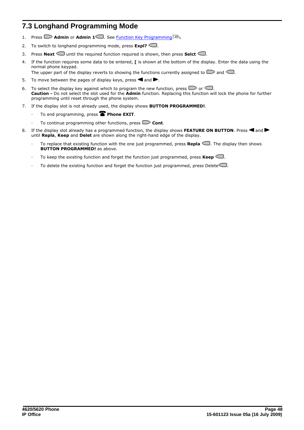## <span id="page-47-0"></span>**7.3 Longhand Programming Mode**

- 1. Press **Admin** or **Admin 1** . See <u>Function Key Programming</u> (45<sup>4</sup>).
- 2. To switch to longhand programming mode, press **Expl?** .
- 3. Press **Next**  $\Box$  until the required function required is shown, then press **Selct**  $\Box$ .
- 4. If the function requires some data to be entered, **[** is shown at the bottom of the display. Enter the data using the normal phone keypad.

The upper part of the display reverts to showing the functions currently assigned to  $\Box$  and  $\Box$ .

- 5. To move between the pages of display keys, press  $\blacksquare$  and  $\blacksquare$ .
- 6. To select the display key against which to program the new function, press  $\Box$  or  $\Box$ . **Caution -** Do not select the slot used for the **Admin** function. Replacing this function will lock the phone for further programming until reset through the phone system.
- 7. If the display slot is not already used, the display shows **BUTTON PROGRAMMED!**.
	- To end programming, press **Phone EXIT**.
	- To continue programming other functions, press **CD** Cont.
- 8. If the display slot already has a programmed function, the display shows FEATURE ON BUTTON. Press **4** and until **Repla**, **Keep** and **Delet** are shown along the right-hand edge of the display.
	- · To replace that existing function with the one just programmed, press **Repla** . The display then shows **BUTTON PROGRAMMED!** as above.
	- To keep the existing function and forget the function just programmed, press **Keep**
	- To delete the existing function and forget the function just programmed, press Delete $\Box$ .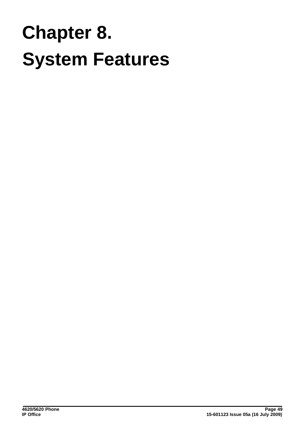## **System Features Chapter 8.**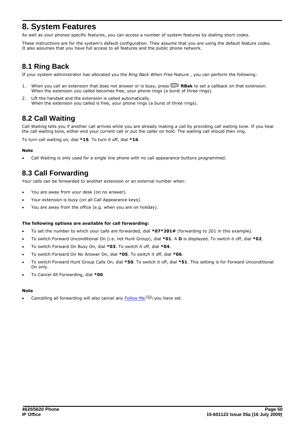## <span id="page-49-0"></span>**8. System Features**

As well as your phones specific features, you can access a number of system features by dialling short codes.

These instructions are for the system's default configuration. They assume that you are using the default feature codes. It also assumes that you have full access to all features and the public phone network.

## <span id="page-49-1"></span>**8.1 Ring Back**

If your system administrator has allocated you the *Ring Back When Free* feature , you can perform the following:

- 1. When you call an extension that does not answer or is busy, press **RBak** to set a callback on that extension. When the extension you called becomes free, your phone rings (a burst of three rings).
- 2. Lift the handset and the extension is called automatically. When the extension you called is free, your phone rings (a burst of three rings).

## <span id="page-49-2"></span>**8.2 Call Waiting**

Call Waiting tells you if another call arrives while you are already making a call by providing call waiting tone. If you hear the call waiting tone, either end your current call or put the caller on hold. The waiting call should then ring.

To turn call waiting on, dial **\*15**. To turn it off, dial **\*16**.

## **Note**

· Call Waiting is only used for a single line phone with no call appearance buttons programmed.

## <span id="page-49-3"></span>**8.3 Call Forwarding**

Your calls can be forwarded to another extension or an external number when:

- You are away from your desk (on no answer).
- Your extension is busy (on all Call Appearance keys).
- You are away from the office (e.g. when you are on holiday).

#### **The following options are available for call forwarding:**

- · To set the number to which your calls are forwarded, dial **\*07\*201#** (forwarding to 201 in this example).
- · To switch Forward Unconditional On (i.e. not Hunt Group), dial **\*01**. A **D** is displayed. To switch it off, dial **\*02**.
- · To switch Forward On Busy On, dial **\*03**. To switch it off, dial **\*04**.
- · To switch Forward On No Answer On, dial **\*05**. To switch it off, dial **\*06**.
- · To switch Forward Hunt Group Calls On, dial **\*50**. To switch it off, dial **\*51**. This setting is for Forward Unconditional On only.
- · To Cancel All Forwarding, dial **\*00**.

## **Note**

Cancelling all forwarding will also cancel any [Follow Me](#page-50-0)  $51^{\circ}$  you have set.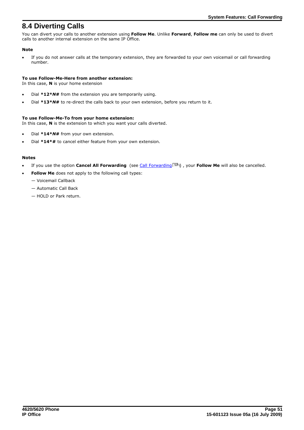## <span id="page-50-0"></span>**8.4 Diverting Calls**

You can divert your calls to another extension using **Follow Me**. Unlike **Forward**, **Follow me** can only be used to divert calls to another internal extension on the same IP Office.

## **Note**

· If you do not answer calls at the temporary extension, they are forwarded to your own voicemail or call forwarding number.

### **To use Follow-Me-Here from another extension:**

In this case, **N** is your home extension

- · Dial **\*12\****N***#** from the extension you are temporarily using.
- · Dial **\*13\****N***#** to re-direct the calls back to your own extension, before you return to it.

## **To use Follow-Me-To from your home extension:**

In this case, **N** is the extension to which you want your calls diverted.

- Dial \*14\**N*# from your own extension.
- Dial \*14\*# to cancel either feature from your own extension.

## **Notes**

- If you use the option **Cancel All Forwarding** (see [Call Forwarding](#page-49-3) 50<sup>4</sup>), your **Follow Me** will also be cancelled.
- **Follow Me** does not apply to the following call types:
	- Voicemail Callback
	- Automatic Call Back
	- HOLD or Park return.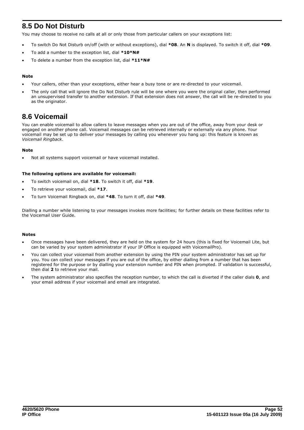## <span id="page-51-0"></span>**8.5 Do Not Disturb**

You may choose to receive no calls at all or only those from particular callers on your exceptions list:

- · To switch Do Not Disturb on/off (with or without exceptions), dial **\*08**. An **N** is displayed. To switch it off, dial **\*09**.
- · To add a number to the exception list, dial **\*10\*N#**
- · To delete a number from the exception list, dial **\*11\*N#**

### **Note**

- · Your callers, other than your exceptions, either hear a busy tone or are re-directed to your voicemail.
- The only call that will ignore the Do Not Disturb rule will be one where you were the original caller, then performed an unsupervised transfer to another extension. If that extension does not answer, the call will be re-directed to you as the originator.

## <span id="page-51-1"></span>**8.6 Voicemail**

You can enable voicemail to allow callers to leave messages when you are out of the office, away from your desk or engaged on another phone call. Voicemail messages can be retrieved internally or externally via any phone. Your voicemail may be set up to deliver your messages by calling you whenever you hang up: this feature is known as *Voicemail Ringback*.

#### **Note**

· Not all systems support voicemail or have voicemail installed.

#### **The following options are available for voicemail:**

- · To switch voicemail on, dial **\*18**. To switch it off, dial **\*19**.
- · To retrieve your voicemail, dial **\*17**.
- · To turn Voicemail Ringback on, dial **\*48**. To turn it off, dial **\*49**.

Dialling a number while listening to your messages invokes more facilities; for further details on these facilities refer to the Voicemail User Guide.

#### **Notes**

- · Once messages have been delivered, they are held on the system for 24 hours (this is fixed for Voicemail Lite, but can be varied by your system administrator if your IP Office is equipped with VoicemailPro).
- · You can collect your voicemail from another extension by using the PIN your system administrator has set up for you. You can collect your messages if you are out of the office, by either dialling from a number that has been registered for the purpose or by dialling your extension number and PIN when prompted. If validation is successful, then dial **2** to retrieve your mail.
- · The system administrator also specifies the reception number, to which the call is diverted if the caller dials **0**, and your email address if your voicemail and email are integrated.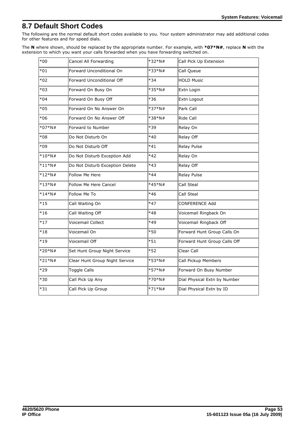## <span id="page-52-0"></span>**8.7 Default Short Codes**

The following are the normal default short codes available to you. Your system administrator may add additional codes for other features and for speed dials.

The **N** where shown, should be replaced by the appropriate number. For example, with **\*07\*N#**, replace **N** with the extension to which you want your calls forwarded when you have forwarding switched on.

| $*00$     | Cancel All Forwarding           | $*32*N#$ | Call Pick Up Extension       |
|-----------|---------------------------------|----------|------------------------------|
| $*01$     | Forward Unconditional On        | $*33*N#$ | Call Queue                   |
| $*02$     | Forward Unconditional Off       | $*34$    | <b>HOLD Music</b>            |
| $*03$     | Forward On Busy On              | $*35*N#$ | Extn Login                   |
| $*04$     | Forward On Busy Off             | $*36$    | Extn Logout                  |
| $*05$     | Forward On No Answer On         | *37*N#   | Park Call                    |
| $*06$     | Forward On No Answer Off        | *38*N#   | Ride Call                    |
| $*07*N#$  | Forward to Number               | *39      | Relay On                     |
| $*08$     | Do Not Disturb On               | *40      | Relay Off                    |
| $*09$     | Do Not Disturb Off              | $*41$    | Relay Pulse                  |
| $*10*$ N# | Do Not Disturb Exception Add    | *42      | Relay On                     |
| $*11*N#$  | Do Not Disturb Exception Delete | $*43$    | Relay Off                    |
| $*12*N#$  | Follow Me Here                  | $*44$    | Relay Pulse                  |
| $*13*N#$  | <b>Follow Me Here Cancel</b>    | *45*N#   | Call Steal                   |
| $*14*N#$  | Follow Me To                    | $*46$    | Call Steal                   |
| $*15$     | Call Waiting On                 | $*47$    | <b>CONFERENCE Add</b>        |
| $*16$     | Call Waiting Off                | $*48$    | Voicemail Ringback On        |
| $*17$     | Voicemail Collect               | $*49$    | Voicemail Ringback Off       |
| $*18$     | Voicemail On                    | $*50$    | Forward Hunt Group Calls On  |
| $*19$     | Voicemail Off                   | $*51$    | Forward Hunt Group Calls Off |
| $*20*N#$  | Set Hunt Group Night Service    | *52      | Clear Call                   |
| $*21*N#$  | Clear Hunt Group Night Service  | *53*N#   | Call Pickup Members          |
| $*29$     | <b>Toggle Calls</b>             | *57*N#   | Forward On Busy Number       |
| $*30$     | Call Pick Up Any                | $*70*N#$ | Dial Physical Extn by Number |
| $*31$     | Call Pick Up Group              | $*71*N#$ | Dial Physical Extn by ID     |
|           |                                 |          |                              |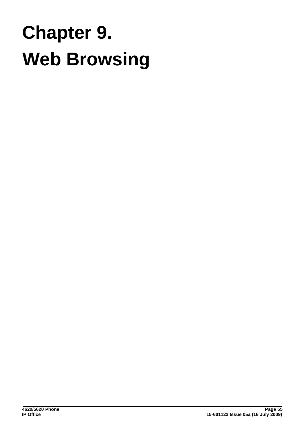## **Web Browsing Chapter 9.**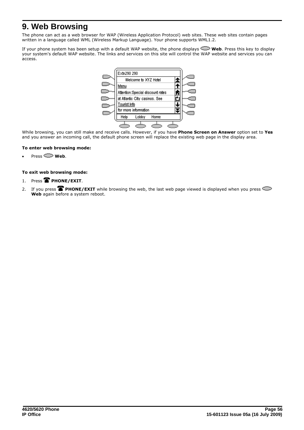## <span id="page-55-0"></span>**9. Web Browsing**

The phone can act as a web browser for WAP (Wireless Application Protocol) web sites. These web sites contain pages written in a language called WML (Wireless Markup Language). Your phone supports WML1.2.

If your phone system has been setup with a default WAP website, the phone displays **Web**. Press this key to display your system's default WAP website. The links and services on this site will control the WAP website and services you can access.



While browsing, you can still make and receive calls. However, if you have **Phone Screen on Answer** option set to **Yes** and you answer an incoming call, the default phone screen will replace the existing web page in the display area.

#### **To enter web browsing mode:**

 $Press \sim$  **Web**.

## **To exit web browsing mode:**

- 1. Press **PHONE/EXIT.**
- 2. If you press **PHONE/EXIT** while browsing the web, the last web page viewed is displayed when you press Web again before a system reboot.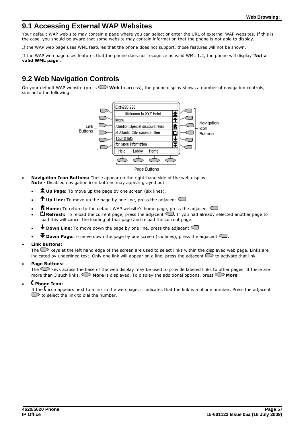## <span id="page-56-0"></span>**9.1 Accessing External WAP Websites**

Your default WAP web site may contain a page where you can select or enter the URL of external WAP websites. If this is the case, you should be aware that some website may contain information that the phone is not able to display.

If the WAP web page uses WML features that the phone does not support, those features will not be shown.

If the WAP web page uses features that the phone does not recognize as valid WML 1.2, the phone will display '**Not a valid WML page**'.

## <span id="page-56-1"></span>**9.2 Web Navigation Controls**

On your default WAP website (press **Web** to access), the phone display shows a number of navigation controls, similar to the following:



- · **Navigation Icon Buttons:** These appear on the right-hand side of the web display. **Note -** Disabled navigation icon buttons may appear grayed out.
	- $\triangle$  **Up Page:** To move up the page by one screen (six lines).
	- $\uparrow$  Up Line: To move up the page by one line, press the adjacent  $\subseteq$ .
	- $\hat{\mathbf{r}}$  **Home:** To return to the default WAP website's home page, press the adjacent  $\mathbf{r}$ .
	- · **Refresh:** To reload the current page, press the adjacent . If you had already selected another page to load this will cancel the loading of that page and reload the current page.
	- $\blacklozenge$  **Down Line:** To move down the page by one line, press the adjacent  $\blacktriangleleft$ .
	- $\blacktriangledown$  **Down Page:** To move down the page by one screen (six lines), press the adjacent  $\blacktriangleleft$ .

#### · **Link Buttons:**

The  $\Box$  keys at the left hand edge of the screen are used to select links within the displayed web page. Links are indicated by underlined text. Only one link will appear on a line, press the adjacent  $\Box$  to activate that link.

#### · **Page Buttons:**

The  $\leq$  keys across the base of the web display may be used to provide labeled links to other pages. If there are more than 3 such links, **Nore** is displayed. To display the additional options, press **Nore.** 

#### · **Phone Icon:**

If the  $\mathsf{\mathsf{C}}$  icon appears next to a link in the web page, it indicates that the link is a phone number. Press the adiacent  $\Box$  to select the link to dial the number.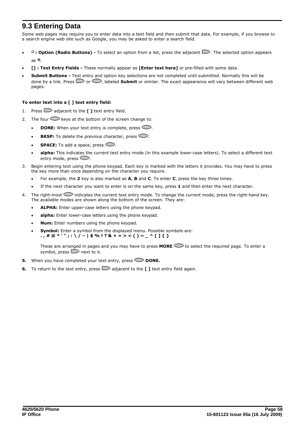## <span id="page-57-0"></span>**9.3 Entering Data**

Some web pages may require you to enter data into a text field and then submit that data. For example, if you browse to a search engine web site such as Google, you may be asked to enter a search field.

- <sup>O</sup>: Option (Radio Buttons) To select an option from a list, press the adjacent **D**. The selected option appears as  $\blacksquare$
- · **[] : Text Entry Fields** These normally appear as **[Enter text here]** or pre-filled with some data.
- · **Submit Buttons** Text entry and option key selections are not completed until submitted. Normally this will be done by a link. Press  $\Box$  or  $\Diamond$ , labeled **Submit** or similar. The exact appearance will vary between different web pages.

## **To enter text into a [ ] text entry field:**

- 1. Press  $\Box$  adjacent to the  $\Box$  and text entry field.
- 2. The four  $\supseteq$  keys at the bottom of the screen change to:
	- **DONE:** When your text entry is complete, press  $\sim$ .
	- $\cdot$  **BKSP:** To delete the previous character, press  $\sim$ .
	- **SPACE:** To add a space, press  $\bigcirc$ .
	- alpha: This indicates the current text entry mode (in this example lower-case letters). To select a different text entry mode, press  $\mathbb{C}$ .
- 3. Begin entering text using the phone keypad. Each key is marked with the letters it provides. You may have to press the key more than once depending on the character you require.
	- · For example, the **2** key is also marked as **A**, **B** and **C**. To enter **C**, press the key three times.
	- If the next character you want to enter is on the same key, press 1 and then enter the next character.
- 4. The right-most  $\sim$  indicates the current text entry mode. To change the current mode, press the right-hand key. The available modes are shown along the bottom of the screen. They are:
	- · **ALPHA:** Enter upper-case letters using the phone keypad.
	- · **alpha:** Enter lower-case letters using the phone keypad.
	- · **Num:** Enter numbers using the phone keypad.
	- **Symbol:** Enter a symbol from the displayed menu. Possible symbols are:
	- **. , # @ \* ' " ; : \ / | \$ % ! ? & + = > < ( ) ~ \_ ^ [ ] { }**

These are arranged in pages and you may have to press **MORE the required page.** To enter a symbol, press  $\Box$  next to it.

- **5.** When you have completed your text entry, press  $\Box$  DONE.
- **6.** To return to the text entry, press  $\Box$  adjacent to the **[ ]** text entry field again.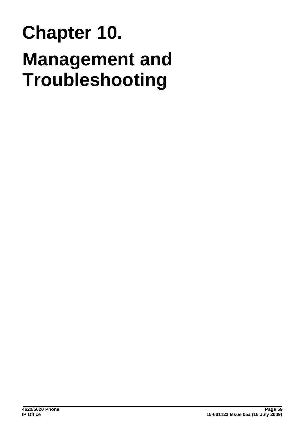## **Management and Troubleshooting Chapter 10.**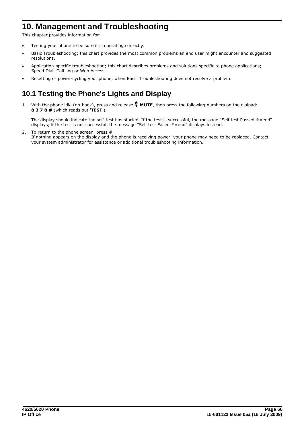## <span id="page-59-0"></span>**10. Management and Troubleshooting**

This chapter provides information for:

- Testing your phone to be sure it is operating correctly.
- Basic Troubleshooting; this chart provides the most common problems an end user might encounter and suggested resolutions.
- · Application-specific troubleshooting; this chart describes problems and solutions specific to phone applications; Speed Dial, Call Log or Web Access.
- Resetting or power-cycling your phone, when Basic Troubleshooting does not resolve a problem.

## <span id="page-59-1"></span>**10.1 Testing the Phone's Lights and Display**

1. With the phone idle (on-hook), press and release **MUTE**, then press the following numbers on the dialpad: **8 3 7 8 #** (which reads out '**TEST**').

The display should indicate the self-test has started. If the test is successful, the message "Self test Passed #=end" displays; if the test is not successful, the message "Self test Failed #=end" displays instead.

2. To return to the phone screen, press #. If nothing appears on the display and the phone is receiving power, your phone may need to be replaced. Contact your system administrator for assistance or additional troubleshooting information.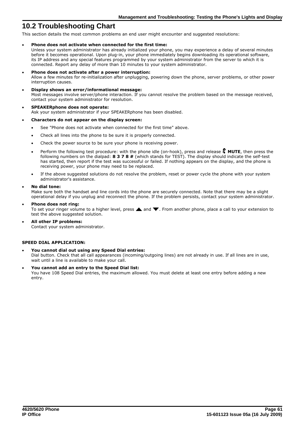## <span id="page-60-0"></span>**10.2 Troubleshooting Chart**

This section details the most common problems an end user might encounter and suggested resolutions:

· **Phone does not activate when connected for the first time:**

Unless your system administrator has already initialized your phone, you may experience a delay of several minutes before it becomes operational. Upon plug-in, your phone immediately begins downloading its operational software, its IP address and any special features programmed by your system administrator from the server to which it is connected. Report any delay of more than 10 minutes to your system administrator.

- · **Phone does not activate after a power interruption:**
- Allow a few minutes for re-initialization after unplugging, powering down the phone, server problems, or other power interruption causes.
- · **Display shows an error/informational message:** Most messages involve server/phone interaction. If you cannot resolve the problem based on the message received, contact your system administrator for resolution.
- · **SPEAKERphone does not operate:** Ask your system administrator if your SPEAKERphone has been disabled.

#### · **Characters do not appear on the display screen:**

- See "Phone does not activate when connected for the first time" above.
- · Check all lines into the phone to be sure it is properly connected.
- Check the power source to be sure your phone is receiving power.
- Perform the following test procedure: with the phone idle (on-hook), press and release **X** MUTE, then press the following numbers on the dialpad: **8 3 7 8 #** (which stands for TEST). The display should indicate the self-test has started, then report if the test was successful or failed. If nothing appears on the display, and the phone is receiving power, your phone may need to be replaced.
- · If the above suggested solutions do not resolve the problem, reset or power cycle the phone with your system administrator's assistance.
- · **No dial tone:**

Make sure both the handset and line cords into the phone are securely connected. Note that there may be a slight operational delay if you unplug and reconnect the phone. If the problem persists, contact your system administrator.

· **Phone does not ring:**

To set your ringer volume to a higher level, press  $\triangle$  and  $\blacktriangledown$ . From another phone, place a call to your extension to test the above suggested solution.

· **All other IP problems:** Contact your system administrator.

#### **SPEED DIAL APPLICATION:**

#### · **You cannot dial out using any Speed Dial entries:**

Dial button. Check that all call appearances (incoming/outgoing lines) are not already in use. If all lines are in use, wait until a line is available to make your call.

· **You cannot add an entry to the Speed Dial list:**

You have 108 Speed Dial entries, the maximum allowed. You must delete at least one entry before adding a new entry.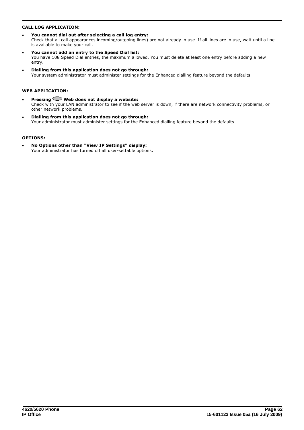### **CALL LOG APPLICATION:**

- · **You cannot dial out after selecting a call log entry:** Check that all call appearances incoming/outgoing lines) are not already in use. If all lines are in use, wait until a line is available to make your call.
- · **You cannot add an entry to the Speed Dial list:** You have 108 Speed Dial entries, the maximum allowed. You must delete at least one entry before adding a new entry.
- · **Dialling from this application does not go through:** Your system administrator must administer settings for the Enhanced dialling feature beyond the defaults.

### **WEB APPLICATION:**

- Pressing  $\bigcirc$  Web does not display a website: Check with your LAN administrator to see if the web server is down, if there are network connectivity problems, or other network problems.
- · **Dialling from this application does not go through:** Your administrator must administer settings for the Enhanced dialling feature beyond the defaults.

#### **OPTIONS:**

· **No Options other than "View IP Settings" display:** Your administrator has turned off all user-settable options.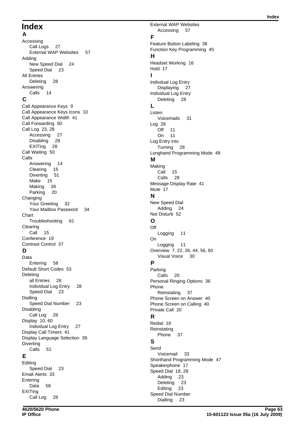## **Index**

**A** Accessing Call Logs 27 External WAP Websites 57 Adding New Speed Dial 24 Speed Dial 23 All Entries Deleting 28 Answering Calls 14 **C** Call Appearance Keys 9 Call Appearance Keys Icons 10 Call Appearance Width 41 Call Forwarding 50 Call Log 23, 28 Accessing 27 Disabling 28 EXITing 28 Call Waiting 50 Calls Answering 14 Clearing 15 Diverting 51 Make 15 Making 28 Parking 20 Changing Your Greeting 32 Your Mailbox Password 34 **Chart** Troubleshooting 61 Clearing Call 15 Conference 19 Contrast Control 37 **D** Data Entering 58 Default Short Codes 53 Deleting all Entries 28 Individual Log Entry 28 Speed Dial 23 Dialling Speed Dial Number 23 Disabling Call Log 28 Display 10, 60

Indivdual Log Entry 27 Display Call Timers 41 Display Language Selection 39 **Diverting** Calls 51

## **E**

Editing Speed Dial 23 Email Alerts 33 **Entering** Data 58 EXITing Call Log 28

External WAP Websites Accessing 57 **F** Feature Button Labeling 38 Function Key Programming 45

## **H**

Headset Working 16 Hold 17 **I** Indivdual Log Entry Displaying 27 Individual Log Entry Deleting 28 **L** Listen Voicemails 31 Log 28 Off 11 On 11 Log Entry into Turning 28 Longhand Programming Mode 48 **M** Making Call 15 Calls 28 Message Display Rate 41 Mute 17 **N** New Speed Dial Adding 24 Not Disturb 52 **O Off** Logging 11 On Logging 11 Overview 7, 22, 26, 44, 56, 60 Visual Voice 30 **P** Parking Calls 20 Personal Ringing Options 36 Phone Reinstating 37 Phone Screen on Answer 40 Phone Screen on Calling 40 Private Call 20 **R** Redial 18 **Reinstating** Phone 37 **S** Send Voicemail 33 Shorthand Programming Mode 47 Speakerphone 17 Speed Dial 18, 28 Adding 23 Deleting 23 Editing 23 Speed Dial Number Dialling 23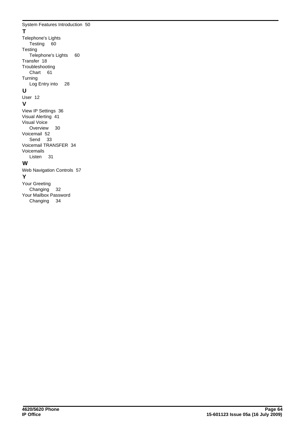System Features Introduction 50 **T** Telephone's Lights Testing 60 **Testing** Telephone's Lights 60 Transfer 18 Troubleshooting Chart 61 Turning Log Entry into 28 **U** User 12 **V** View IP Settings 36 Visual Alerting 41 Visual Voice Overview 30 Voicemail 52 Send 33 Voicemail TRANSFER 34 Voicemails Listen 31

## **W**

Web Navigation Controls 57 **Y** Your Greeting Changing 32 Your Mailbox Password

Changing 34